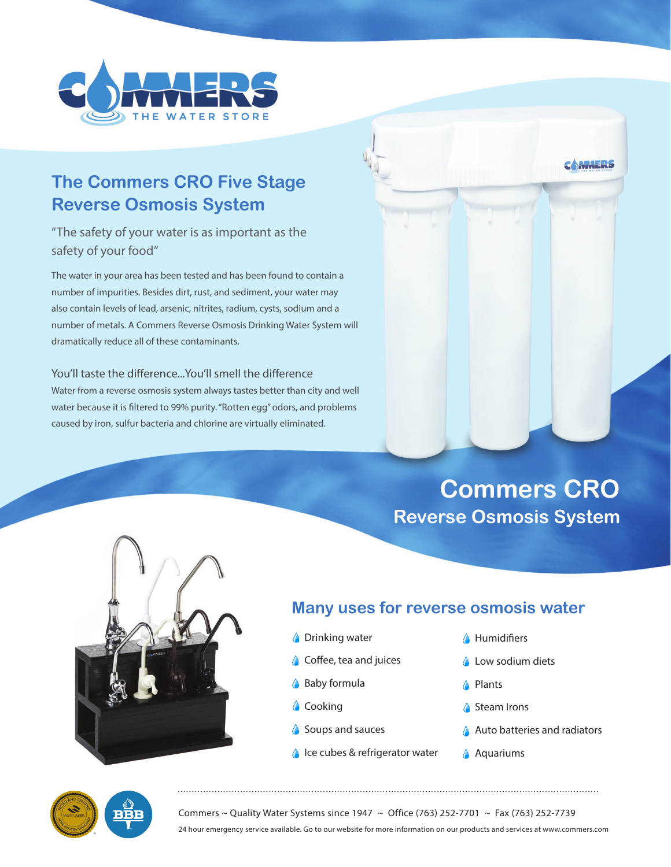

# **The Commers CRO Five Stage Reverse Osmosis System**

## "The safety of your water is as important as the safety of your food"

The water in your area has been tested and has been found to contain a number of impurities. Besides dirt, rust, and sediment, your water may also contain levels of lead, arsenic, nitrites, radium, cysts, sodium and a number of metals. A Commers Reverse Osmosis Drinking Water System will dramatically reduce all of these contaminants.

#### You'll taste the difference...You'll smell the difference

Water from a reverse osmosis system always tastes better than city and well water because it is filtered to 99% purity. "Rotten egg" odors, and problems caused by iron, sulfur bacteria and chlorine are virtually eliminated.

# **Commers CRO Reverse Osmosis System**

**CAMMERS** 



## **Many uses for reverse osmosis water**

- **C** Drinking water
- Coffee, tea and juices
- **A** Baby formula
- Cooking
- Soups and sauces
- ♦ Ice cubes & refrigerator water
- **A** Humidifiers
- **Low sodium diets**
- **A** Plants
- Steam Irons
- A Auto batteries and radiators
- **Aquariums**



Commers ~ Quality Water Systems since 1947 ~ Office (763) 252-7701 ~ Fax (763) 252-7739 24 hour emergency service available. Go to our website for more information on our products and services at www.commers.com

....................................................................................................................................................